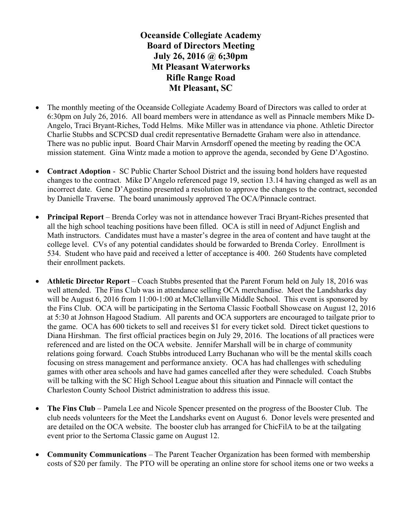Oceanside Collegiate Academy Board of Directors Meeting July 26, 2016 @ 6;30pm Mt Pleasant Waterworks Rifle Range Road Mt Pleasant, SC

- The monthly meeting of the Oceanside Collegiate Academy Board of Directors was called to order at 6:30pm on July 26, 2016. All board members were in attendance as well as Pinnacle members Mike D-Angelo, Traci Bryant-Riches, Todd Helms. Mike Miller was in attendance via phone. Athletic Director Charlie Stubbs and SCPCSD dual credit representative Bernadette Graham were also in attendance. There was no public input. Board Chair Marvin Arnsdorff opened the meeting by reading the OCA mission statement. Gina Wintz made a motion to approve the agenda, seconded by Gene D'Agostino.
- Contract Adoption SC Public Charter School District and the issuing bond holders have requested changes to the contract. Mike D'Angelo referenced page 19, section 13.14 having changed as well as an incorrect date. Gene D'Agostino presented a resolution to approve the changes to the contract, seconded by Danielle Traverse. The board unanimously approved The OCA/Pinnacle contract.
- Principal Report Brenda Corley was not in attendance however Traci Bryant-Riches presented that all the high school teaching positions have been filled. OCA is still in need of Adjunct English and Math instructors. Candidates must have a master's degree in the area of content and have taught at the college level. CVs of any potential candidates should be forwarded to Brenda Corley. Enrollment is 534. Student who have paid and received a letter of acceptance is 400. 260 Students have completed their enrollment packets.
- Athletic Director Report Coach Stubbs presented that the Parent Forum held on July 18, 2016 was well attended. The Fins Club was in attendance selling OCA merchandise. Meet the Landsharks day will be August 6, 2016 from 11:00-1:00 at McClellanville Middle School. This event is sponsored by the Fins Club. OCA will be participating in the Sertoma Classic Football Showcase on August 12, 2016 at 5:30 at Johnson Hagood Stadium. All parents and OCA supporters are encouraged to tailgate prior to the game. OCA has 600 tickets to sell and receives \$1 for every ticket sold. Direct ticket questions to Diana Hirshman. The first official practices begin on July 29, 2016. The locations of all practices were referenced and are listed on the OCA website. Jennifer Marshall will be in charge of community relations going forward. Coach Stubbs introduced Larry Buchanan who will be the mental skills coach focusing on stress management and performance anxiety. OCA has had challenges with scheduling games with other area schools and have had games cancelled after they were scheduled. Coach Stubbs will be talking with the SC High School League about this situation and Pinnacle will contact the Charleston County School District administration to address this issue.
- The Fins Club Pamela Lee and Nicole Spencer presented on the progress of the Booster Club. The club needs volunteers for the Meet the Landsharks event on August 6. Donor levels were presented and are detailed on the OCA website. The booster club has arranged for ChicFilA to be at the tailgating event prior to the Sertoma Classic game on August 12.
- Community Communications The Parent Teacher Organization has been formed with membership costs of \$20 per family. The PTO will be operating an online store for school items one or two weeks a